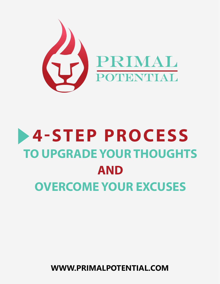

# **4-STEP PROCESS TO UPGRADE YOUR THOUGHTS AND OVERCOME YOUR EXCUSES**

**WWW.PRIMALPOTENTIAL.COM**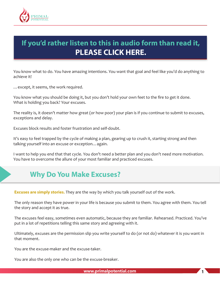

# **[If you'd rather listen to this in audio form than read it,](http://traffic.libsyn.com/primaldailymotivation/excuses_whitepaper.mp3)  PLEASE CLICK HERE.**

You know what to do. You have amazing intentions. You want that goal and feel like you'd do anything to achieve it!

…except, it seems, the work required.

You know what you should be doing it, but you don't hold your own feet to the fire to get it done. What is holding you back? Your excuses.

The reality is, it doesn't matter how great (or how poor) your plan is if you continue to submit to excuses, exceptions and delay.

Excuses block results and foster frustration and self-doubt.

It's easy to feel trapped by the cycle of making a plan, gearing up to crush it, starting strong and then talking yourself into an excuse or exception…again.

I want to help you end that that cycle. You don't need a better plan and you don't need more motivation. You have to overcome the allure of your most familiar and practiced excuses.

## **Why Do You Make Excuses?**

**Excuses are simply stories.** They are the way by which you talk yourself out of the work.

The only reason they have power in your life is because you submit to them. You agree with them. You tell the story and accept it as true.

The excuses feel easy, sometimes even automatic, because they are familiar. Rehearsed. Practiced. You've put in a lot of repetitions telling this same story and agreeing with it.

Ultimately, excuses are the permission slip you write yourself to do (or not do) whatever it is you want in that moment.

You are the excuse-maker and the excuse-taker.

You are also the only one who can be the excuse-breaker.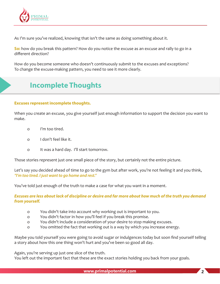

As I'm sure you've realized, knowing that isn't the same as doing something about it.

**So:** how do you break this pattern? How do you notice the excuse as an excuse and rally to go in a different direction?

How do you become someone who doesn't continuously submit to the excuses and exceptions? To change the excuse-making pattern, you need to see it more clearly.

# **Incomplete Thoughts**

#### **Excuses represent incomplete thoughts.**

When you create an excuse, you give yourself just enough information to support the decision you want to make.

- o I'm too tired.
- o I don't feel like it.
- o It was a hard day. I'll start tomorrow.

Those stories represent just one small piece of the story, but certainly not the entire picture.

Let's say you decided ahead of time to go to the gym but after work, you're not feeling it and you think, *"I'm too tired. I just want to go home and rest."*

You've told just enough of the truth to make a case for what you want in a moment.

*Excuses are less about lack of discipline or desire and far more about how much of the truth you demand from yourself.* 

- o You didn't take into account why working out is important to you.
- o You didn't factor in how you'll feel if you break this promise.
- o You didn't include a consideration of your desire to stop making excuses.
- o You omitted the fact that working out is a way by which you increase energy.

Maybe you told yourself you were going to avoid sugar or indulgences today but soon find yourself telling a story about how this one thing won't hurt and you've been so good all day.

Again, you're serving up just one slice of the truth.

You left out the important fact that these are the exact stories holding you back from your goals.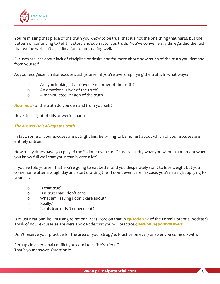

You're missing that piece of the truth you know to be true: that it's not the one thing that hurts, but the pattern of continuing to tell this story and submit to it as truth. You've conveniently disregarded the fact that eating well isn't a justification for not eating well.

Excuses are less about lack of discipline or desire and far more about how much of the truth you demand from yourself.

As you recognize familiar excuses, ask yourself if you're oversimplifying the truth. In what ways?

- o Are you looking at a convenient corner of the truth?
- o An emotional sliver of the truth?
- o A manipulated version of the truth?

*How much* of the truth do you demand from yourself?

Never lose sight of this powerful mantra:

#### *The answer isn't always the truth.*

In fact, some of your excuses are outright lies. Be willing to be honest about which of your excuses are entirely untrue.

How many times have you played the "I don't even care" card to justify what you want in a moment when you know full well that you actually care a lot?

If you've told yourself that you're going to eat better and you desperately want to lose weight but you come home after a tough day and start drafting the "I don't even care" excuse, you're straight up lying to yourself.

- o Is that true?
- o Is it true that I don't care?
- o What am I saying I don't care about?
- o Really?
- o Is this true or is it convenient?

Is it just a rational lie I'm using to rationalize? (More on that in *episode 557* of the Primal Potential podcast) Think of your excuses as answers and decide that you will practice *questioning your answers.* 

Don't reserve your practice for the area of your struggle. Practice on every answer you come up with.

Perhaps in a personal conflict you conclude, "He's a jerk!" That's your answer. Question it.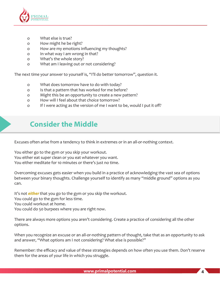

- o What else is true?
- o How might he be right?
- o How are my emotions influencing my thoughts?
- o In what way I am wrong in that?
- o What's the whole story?
- o What am I leaving out or not considering?

The next time your answer to yourself is, "I'll do better tomorrow", question it.

- o What does tomorrow have to do with today?
- o Is that a pattern that has worked for me before?
- o Might this be an opportunity to create a new pattern?
- o How will I feel about that choice tomorrow?
- o If I were acting as the version of me I want to be, would I put it off?

## **Consider the Middle**

Excuses often arise from a tendency to think in extremes or in an all-or-nothing context.

You either go to the gym or you skip your workout. You either eat super clean or you eat whatever you want. You either meditate for 10 minutes or there's just no time.

Overcoming excuses gets easier when you build in a practice of acknowledging the vast sea of options between your binary thoughts. Challenge yourself to identify as many "middle ground" options as you can.

It's not *either* that you go to the gym or you skip the workout. You could go to the gym for less time. You could workout at home. You could do 50 burpees where you are right now.

There are always more options you aren't considering. Create a practice of considering all the other options.

When you recognize an excuse or an all-or-nothing pattern of thought, take that as an opportunity to ask and answer, "What options am I not considering? What else is possible?"

Remember: the efficacy and value of these strategies depends on how often you use them. Don't reserve them for the areas of your life in which you struggle.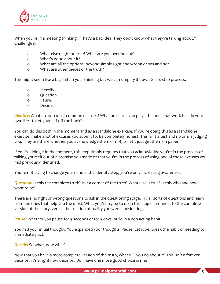

When you're in a meeting thinking, "That's a bad idea. They don't know what they're talking about." Challenge it.

- o What else might be true? What are you overlooking?
- o What's good about it?
- o What are all the options, beyond simply right and wrong or yes and no?
- o What are other pieces of the truth?

This might seem like a big shift in your thinking but we can simplify it down to a 4-step process.

- o Identify.
- o Question.
- o Pause.
- o Decide.

*Identify:* What are you most common excuses? What are cards you play - the ones that work best in your own life - to let yourself off the hook?

You can do this both in the moment and as a standalone exercise. If you're doing this as a standalone exercise, make a list of excuses you submit to. Be completely honest. This isn't a test and no one is judging you. They are there whether you acknowledge them or not, so let's just get them on paper.

If you're doing it in the moment, this step simply requires that you acknowledge you're in the process of talking yourself out of a promise you made or that you're in the process of using one of those excuses you had previously identified.

You're not trying to change your mind in the identify step, you're only increasing awareness.

*Question:* Is this the complete truth? Is it a corner of the truth? What else is true? Is this who and how I want to be?

There are no right or wrong questions to ask in the questioning stage. Try all sorts of questions and learn from the ones that help you the most. What you're trying to do in this stage is connect to the complete version of the story, versus the fraction of reality you were considering.

**Pause:** Whether you pause for 5 seconds or for 5 days, build in a non-acting habit.

You had your initial thought. You expanded your thoughts. Pause. Let it be. Break the habit of needing to immediately act.

#### **Decide:** So what, now what?

Now that you have a more complete version of the truth, what will you do about it? This isn't a forever decision, it's a right now decision. Do I have one more good choice in me?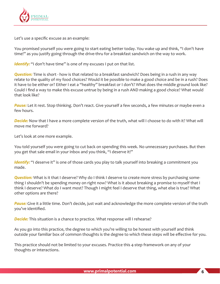

Let's use a specific excuse as an example:

You promised yourself you were going to start eating better today. You wake up and think, "I don't have time!" as you justify going through the drive-thru for a breakfast sandwich on the way to work.

*Identify:* "I don't have time" is one of my excuses I put on that list.

*Question:* Time is short - how is that related to a breakfast sandwich? Does being in a rush in any way relate to the quality of my food choices? Would it be possible to make a good choice and be in a rush? Does it have to be either or? Either I eat a "healthy" breakfast or I don't? What does the middle ground look like? Could I find a way to make this excuse untrue by being in a rush AND making a good choice? What would that look like?

**Pause:** Let it rest. Stop thinking. Don't react. Give yourself a few seconds, a few minutes or maybe even a few hours.

*Decide:* Now that I have a more complete version of the truth, what will I choose to do with it? What will move me forward?

Let's look at one more example.

You told yourself you were going to cut back on spending this week. No unnecessary purchases. But then you get that sale email in your inbox and you think, "I deserve it!"

*Identify*: "I deserve it" is one of those cards you play to talk yourself into breaking a commitment you made.

**Question:** What is it that I deserve? Why do I think I deserve to create more stress by purchasing something I shouldn't be spending money on right now? What is it about breaking a promise to myself that I think I deserve? What do I want most? Though I might feel I deserve that thing, what else is true? What other options are there?

*Pause:* Give it a little time. Don't decide, just wait and acknowledge the more complete version of the truth you've identified.

**Decide:** This situation is a chance to practice. What response will I rehearse?

As you go into this practice, the degree to which you're willing to be honest with yourself and think outside your familiar box of common thoughts is the degree to which these steps will be effective for you.

This practice should not be limited to your excuses. Practice this 4-step framework on any of your thoughts or interactions.